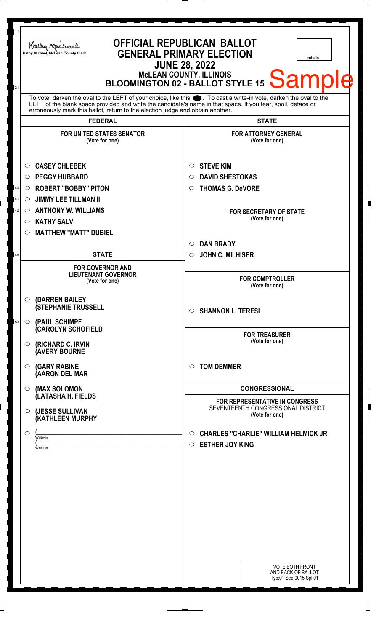| 11<br>21                  | Kathy Michael<br>Kathy Michael, McLean County Clerk                                                                                                                                                                                                                                                                 | <b>OFFICIAL REPUBLICAN BALLOT</b><br><b>GENERAL PRIMARY ELECTION</b><br><b>Initials</b><br><b>JUNE 28, 2022</b><br>BLOOMINGTON 02 - BALLOT STYLE 15 Sample |
|---------------------------|---------------------------------------------------------------------------------------------------------------------------------------------------------------------------------------------------------------------------------------------------------------------------------------------------------------------|------------------------------------------------------------------------------------------------------------------------------------------------------------|
|                           | To vote, darken the oval to the LEFT of your choice, like this ●. To cast a write-in vote, darken the oval to the<br>LEFT of the blank space provided and write the candidate's name in that space. If you tear, spoil, deface or<br>erroneously mark this ballot, return to the election judge and obtain another. |                                                                                                                                                            |
|                           | <b>FEDERAL</b>                                                                                                                                                                                                                                                                                                      | <b>STATE</b>                                                                                                                                               |
|                           | <b>FOR UNITED STATES SENATOR</b><br>(Vote for one)                                                                                                                                                                                                                                                                  | <b>FOR ATTORNEY GENERAL</b><br>(Vote for one)                                                                                                              |
| $\circ$                   | <b>CASEY CHLEBEK</b>                                                                                                                                                                                                                                                                                                | <b>STEVE KIM</b><br>$\circ$                                                                                                                                |
| $\circ$                   | <b>PEGGY HUBBARD</b>                                                                                                                                                                                                                                                                                                | <b>DAVID SHESTOKAS</b><br>$\circ$                                                                                                                          |
| 40<br>$\circ$             | <b>ROBERT "BOBBY" PITON</b>                                                                                                                                                                                                                                                                                         | <b>THOMAS G. DeVORE</b><br>$\circ$                                                                                                                         |
| 41<br>$\circlearrowright$ | <b>JIMMY LEE TILLMAN II</b>                                                                                                                                                                                                                                                                                         |                                                                                                                                                            |
| 42<br>$\circ$             | <b>ANTHONY W. WILLIAMS</b>                                                                                                                                                                                                                                                                                          | <b>FOR SECRETARY OF STATE</b>                                                                                                                              |
| $\circ$                   | <b>KATHY SALVI</b>                                                                                                                                                                                                                                                                                                  | (Vote for one)                                                                                                                                             |
| $\circ$                   | <b>MATTHEW "MATT" DUBIEL</b>                                                                                                                                                                                                                                                                                        |                                                                                                                                                            |
|                           |                                                                                                                                                                                                                                                                                                                     | <b>DAN BRADY</b><br>$\circ$                                                                                                                                |
| 46                        | <b>STATE</b>                                                                                                                                                                                                                                                                                                        | <b>JOHN C. MILHISER</b><br>$\circ$                                                                                                                         |
|                           | <b>FOR GOVERNOR AND</b><br><b>LIEUTENANT GOVERNOR</b><br>(Vote for one)                                                                                                                                                                                                                                             | <b>FOR COMPTROLLER</b><br>(Vote for one)                                                                                                                   |
| 53                        | $\circ$ (DARREN BAILEY<br><b>(STEPHANIE TRUSSELL</b><br>O (PAUL SCHIMPF                                                                                                                                                                                                                                             | $\circ$ SHANNON L. TERESI                                                                                                                                  |
| $\circ$                   | <b>CAROLYN SCHOFIELD</b><br><b>(RICHARD C. IRVIN</b><br><b>(AVERY BOURNE</b>                                                                                                                                                                                                                                        | <b>FOR TREASURER</b><br>(Vote for one)                                                                                                                     |
| $\circ$                   | <b>(GARY RABINE</b><br>(AARON DEL MAR                                                                                                                                                                                                                                                                               | <b>TOM DEMMER</b><br>$\circ$                                                                                                                               |
| $\circ$                   | (MAX SOLOMON                                                                                                                                                                                                                                                                                                        | <b>CONGRESSIONAL</b>                                                                                                                                       |
| $\circ$                   | (LATASHA H. FIELDS<br>(JESSE SULLIVAN<br>(KATHLEEN MURPHY                                                                                                                                                                                                                                                           | <b>FOR REPRESENTATIVE IN CONGRESS</b><br>SEVENTEENTH CONGRESSIONAL DISTRICT<br>(Vote for one)                                                              |
| $\circ$                   | Write-in                                                                                                                                                                                                                                                                                                            | <b>CHARLES "CHARLIE" WILLIAM HELMICK JR</b><br>$\circ$                                                                                                     |
|                           | Write-in                                                                                                                                                                                                                                                                                                            | <b>ESTHER JOY KING</b><br>$\circ$<br><b>VOTE BOTH FRONT</b><br>AND BACK OF BALLOT<br>Typ:01 Seq:0015 Spl:01                                                |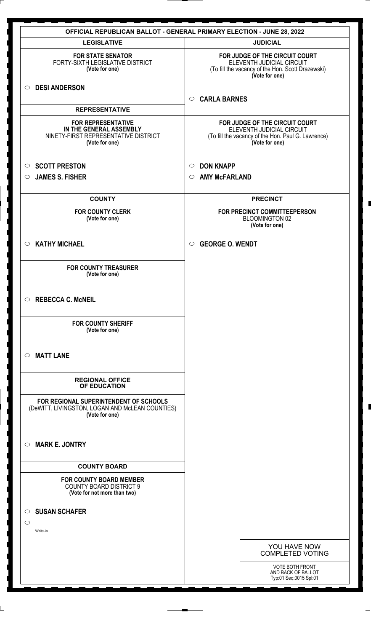|                                                                                                                | <b>OFFICIAL REPUBLICAN BALLOT - GENERAL PRIMARY ELECTION - JUNE 28, 2022</b>                                                        |
|----------------------------------------------------------------------------------------------------------------|-------------------------------------------------------------------------------------------------------------------------------------|
| <b>LEGISLATIVE</b>                                                                                             | <b>JUDICIAL</b>                                                                                                                     |
| <b>FOR STATE SENATOR</b><br>FORTY-SIXTH LEGISLATIVE DISTRICT<br>(Vote for one)                                 | FOR JUDGE OF THE CIRCUIT COURT<br>ELEVENTH JUDICIAL CIRCUIT<br>(To fill the vacancy of the Hon. Scott Drazewski)<br>(Vote for one)  |
| <b>DESI ANDERSON</b><br>$\circ$                                                                                | <b>CARLA BARNES</b><br>$\circ$                                                                                                      |
| <b>REPRESENTATIVE</b>                                                                                          |                                                                                                                                     |
| <b>FOR REPRESENTATIVE</b><br>IN THE GENERAL ASSEMBLY<br>NINETY-FIRST REPRESENTATIVE DISTRICT<br>(Vote for one) | FOR JUDGE OF THE CIRCUIT COURT<br>ELEVENTH JUDICIAL CIRCUIT<br>(To fill the vacancy of the Hon. Paul G. Lawrence)<br>(Vote for one) |
| <b>SCOTT PRESTON</b><br>$\circ$                                                                                | <b>DON KNAPP</b><br>$\circ$                                                                                                         |
| <b>JAMES S. FISHER</b><br>$\circ$                                                                              | <b>AMY McFARLAND</b><br>$\circ$                                                                                                     |
| <b>COUNTY</b>                                                                                                  | <b>PRECINCT</b>                                                                                                                     |
| <b>FOR COUNTY CLERK</b><br>(Vote for one)                                                                      | FOR PRECINCT COMMITTEEPERSON<br><b>BLOOMINGTON 02</b><br>(Vote for one)                                                             |
| <b>KATHY MICHAEL</b><br>$\circ$                                                                                | <b>GEORGE O. WENDT</b><br>$\circ$                                                                                                   |
| <b>FOR COUNTY TREASURER</b><br>(Vote for one)                                                                  |                                                                                                                                     |
| <b>REBECCA C. McNEIL</b><br>$\circ$                                                                            |                                                                                                                                     |
| <b>FOR COUNTY SHERIFF</b><br>(Vote for one)                                                                    |                                                                                                                                     |
| <b>MATT LANE</b><br>$\circ$                                                                                    |                                                                                                                                     |
| <b>REGIONAL OFFICE</b><br>OF EDUCATION                                                                         |                                                                                                                                     |
| FOR REGIONAL SUPERINTENDENT OF SCHOOLS<br>(DeWITT, LIVINGSTON, LOGAN AND McLEAN COUNTIES)<br>(Vote for one)    |                                                                                                                                     |
| <b>MARK E. JONTRY</b><br>$\circ$                                                                               |                                                                                                                                     |
| <b>COUNTY BOARD</b>                                                                                            |                                                                                                                                     |
| <b>FOR COUNTY BOARD MEMBER</b><br><b>COUNTY BOARD DISTRICT 9</b><br>(Vote for not more than two)               |                                                                                                                                     |
| <b>SUSAN SCHAFER</b><br>$\circ$<br>$\circ$<br>Write-in                                                         |                                                                                                                                     |
|                                                                                                                | YOU HAVE NOW<br><b>COMPLETED VOTING</b>                                                                                             |
|                                                                                                                | <b>VOTE BOTH FRONT</b><br>AND BACK OF BALLOT<br>Typ:01 Seq:0015 Spl:01                                                              |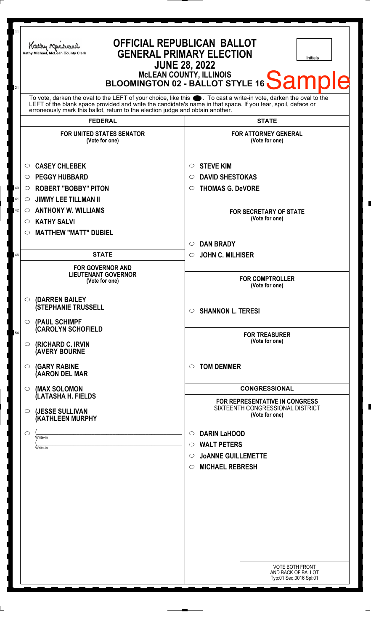| 11       | Kathy Michael<br>Kathy Michael, McLean County Clerk                                                                                                                                                                                  | <b>OFFICIAL REPUBLICAN BALLOT</b><br><b>GENERAL PRIMARY ELECTION</b><br><b>Initials</b><br><b>JUNE 28, 2022</b>                              |
|----------|--------------------------------------------------------------------------------------------------------------------------------------------------------------------------------------------------------------------------------------|----------------------------------------------------------------------------------------------------------------------------------------------|
| 21       | To vote, darken the oval to the LEFT of your choice, like this $\bullet$ . To cast a write-in vote, darken the oval to the LEFT of the blank space provided and write the candidate's name in that space. If you tear, spoil, deface | MCLEAN COUNTY, ILLINOIS<br>BLOOMINGTON 02 - BALLOT STYLE 16 Sample                                                                           |
|          | erroneously mark this ballot, return to the election judge and obtain another.<br><b>FEDERAL</b>                                                                                                                                     | <b>STATE</b>                                                                                                                                 |
|          | <b>FOR UNITED STATES SENATOR</b><br>(Vote for one)                                                                                                                                                                                   | <b>FOR ATTORNEY GENERAL</b><br>(Vote for one)                                                                                                |
| 40       | <b>CASEY CHLEBEK</b><br>$\circ$<br><b>PEGGY HUBBARD</b><br>$\circ$<br><b>ROBERT "BOBBY" PITON</b><br>$\circ$                                                                                                                         | <b>STEVE KIM</b><br>O<br><b>DAVID SHESTOKAS</b><br>O<br><b>THOMAS G. DeVORE</b><br>$\circ$                                                   |
| 41<br>42 | <b>JIMMY LEE TILLMAN II</b><br>$\circ$<br><b>ANTHONY W. WILLIAMS</b><br>$\circ$<br><b>KATHY SALVI</b><br>$\circ$<br><b>MATTHEW "MATT" DUBIEL</b><br>$\circ$                                                                          | <b>FOR SECRETARY OF STATE</b><br>(Vote for one)                                                                                              |
| 46       | <b>STATE</b>                                                                                                                                                                                                                         | <b>DAN BRADY</b><br>O<br><b>JOHN C. MILHISER</b><br>$\circ$                                                                                  |
|          | <b>FOR GOVERNOR AND</b><br><b>LIEUTENANT GOVERNOR</b><br>(Vote for one)                                                                                                                                                              | <b>FOR COMPTROLLER</b><br>(Vote for one)                                                                                                     |
|          | (DARREN BAILEY<br>$\circ$<br><b>(STEPHANIE TRUSSELL</b><br>(PAUL SCHIMPF<br>$\bigcirc$                                                                                                                                               | $\circ$ SHANNON L. TERESI                                                                                                                    |
| 54       | <b>CAROLYN SCHOFIELD</b><br>(RICHARD C. IRVIN<br>$\circ$<br><b>(AVERY BOURNE</b>                                                                                                                                                     | <b>FOR TREASURER</b><br>(Vote for one)                                                                                                       |
|          | <b>(GARY RABINE</b><br>O<br>(AARON DEL MAR                                                                                                                                                                                           | <b>TOM DEMMER</b><br>$\circ$                                                                                                                 |
|          | (MAX SOLOMON<br>O<br>(LATASHA H. FIELDS                                                                                                                                                                                              | <b>CONGRESSIONAL</b><br><b>FOR REPRESENTATIVE IN CONGRESS</b>                                                                                |
|          | (JESSE SULLIVAN<br>O<br>(KATHLEEN MURPHY                                                                                                                                                                                             | SIXTEENTH CONGRESSIONAL DISTRICT<br>(Vote for one)                                                                                           |
|          | $\circ$<br>Write-in<br>Write-in                                                                                                                                                                                                      | <b>DARIN LaHOOD</b><br>$\circ$<br><b>WALT PETERS</b><br>$\circ$<br><b>JOANNE GUILLEMETTE</b><br>$\circ$<br><b>MICHAEL REBRESH</b><br>$\circ$ |
|          |                                                                                                                                                                                                                                      | <b>VOTE BOTH FRONT</b><br>AND BACK OF BALLOT<br>Typ:01 Seq:0016 Spl:01                                                                       |

 $\perp$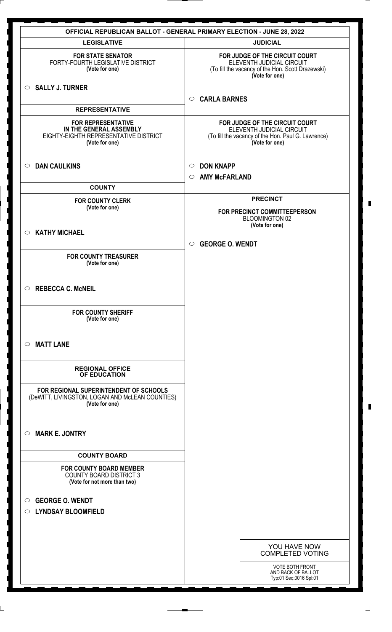|                                                                                                                 | <b>OFFICIAL REPUBLICAN BALLOT - GENERAL PRIMARY ELECTION - JUNE 28, 2022</b>                                                        |
|-----------------------------------------------------------------------------------------------------------------|-------------------------------------------------------------------------------------------------------------------------------------|
| <b>LEGISLATIVE</b>                                                                                              | <b>JUDICIAL</b>                                                                                                                     |
| <b>FOR STATE SENATOR</b><br>FORTY-FOURTH LEGISLATIVE DISTRICT<br>(Vote for one)                                 | FOR JUDGE OF THE CIRCUIT COURT<br>ELEVENTH JUDICIAL CIRCUIT<br>(To fill the vacancy of the Hon. Scott Drazewski)<br>(Vote for one)  |
| $\circ$ SALLY J. TURNER                                                                                         | <b>CARLA BARNES</b><br>$\circ$                                                                                                      |
| <b>REPRESENTATIVE</b>                                                                                           |                                                                                                                                     |
| <b>FOR REPRESENTATIVE</b><br>IN THE GENERAL ASSEMBLY<br>EIGHTY-EIGHTH REPRESENTATIVE DISTRICT<br>(Vote for one) | FOR JUDGE OF THE CIRCUIT COURT<br>ELEVENTH JUDICIAL CIRCUIT<br>(To fill the vacancy of the Hon. Paul G. Lawrence)<br>(Vote for one) |
| <b>DAN CAULKINS</b><br>$\circ$                                                                                  | <b>DON KNAPP</b><br>$\circ$<br><b>AMY McFARLAND</b><br>$\circ$                                                                      |
| <b>COUNTY</b>                                                                                                   |                                                                                                                                     |
| <b>FOR COUNTY CLERK</b>                                                                                         | <b>PRECINCT</b>                                                                                                                     |
| (Vote for one)                                                                                                  | FOR PRECINCT COMMITTEEPERSON<br><b>BLOOMINGTON 02</b><br>(Vote for one)                                                             |
| <b>KATHY MICHAEL</b><br>$\circ$                                                                                 |                                                                                                                                     |
|                                                                                                                 | <b>GEORGE O. WENDT</b><br>$\circ$                                                                                                   |
| <b>FOR COUNTY TREASURER</b><br>(Vote for one)                                                                   |                                                                                                                                     |
| $\circ$ REBECCA C. McNEIL                                                                                       |                                                                                                                                     |
| <b>FOR COUNTY SHERIFF</b><br>(Vote for one)                                                                     |                                                                                                                                     |
| <b>MATT LANE</b><br>$\circ$                                                                                     |                                                                                                                                     |
| <b>REGIONAL OFFICE</b><br>OF EDUCATION                                                                          |                                                                                                                                     |
| FOR REGIONAL SUPERINTENDENT OF SCHOOLS<br>(DeWITT, LIVINGSTON, LOGAN AND McLEAN COUNTIES)<br>(Vote for one)     |                                                                                                                                     |
| <b>MARK E. JONTRY</b><br>$\circ$                                                                                |                                                                                                                                     |
| <b>COUNTY BOARD</b>                                                                                             |                                                                                                                                     |
| <b>FOR COUNTY BOARD MEMBER</b><br><b>COUNTY BOARD DISTRICT 3</b><br>(Vote for not more than two)                |                                                                                                                                     |
| <b>GEORGE O. WENDT</b><br>$\circ$                                                                               |                                                                                                                                     |
| <b>LYNDSAY BLOOMFIELD</b><br>$\circ$                                                                            |                                                                                                                                     |
|                                                                                                                 |                                                                                                                                     |
|                                                                                                                 |                                                                                                                                     |
|                                                                                                                 | YOU HAVE NOW<br><b>COMPLETED VOTING</b>                                                                                             |
|                                                                                                                 | <b>VOTE BOTH FRONT</b><br>AND BACK OF BALLOT<br>Typ:01 Seq:0016 Spl:01                                                              |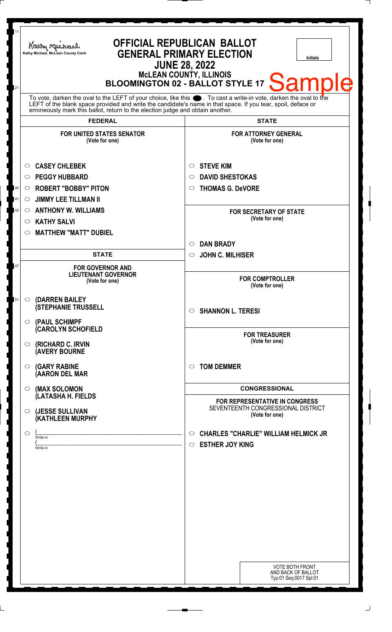| 11<br>21 | <b>OFFICIAL REPUBLICAN BALLOT</b><br>Kathy Macharel<br><b>GENERAL PRIMARY ELECTION</b><br>Kathy Michael, McLean County Clerk                                                                                                                                                                                                             | <b>Initials</b><br><b>JUNE 28, 2022</b><br>McLEAN COUNTY, ILLINOIS<br>BLOOMINGTON 02 - BALLOT STYLE 17<br><b>Samp</b> |
|----------|------------------------------------------------------------------------------------------------------------------------------------------------------------------------------------------------------------------------------------------------------------------------------------------------------------------------------------------|-----------------------------------------------------------------------------------------------------------------------|
|          | To vote, darken the oval to the LEFT of your choice, like this $\bullet$ . To cast a write-in vote, darken the oval to the LEFT of the blank space provided and write the candidate's name in that space. If you tear, spoil, deface<br>erroneously mark this ballot, return to the election judge and obtain another.<br><b>FEDERAL</b> | <b>STATE</b>                                                                                                          |
|          | <b>FOR UNITED STATES SENATOR</b><br>(Vote for one)                                                                                                                                                                                                                                                                                       | <b>FOR ATTORNEY GENERAL</b><br>(Vote for one)                                                                         |
| 40<br>41 | <b>CASEY CHLEBEK</b><br>$\circ$<br><b>PEGGY HUBBARD</b><br>$\circ$<br><b>ROBERT "BOBBY" PITON</b><br>O<br><b>JIMMY LEE TILLMAN II</b><br>$\circ$                                                                                                                                                                                         | <b>STEVE KIM</b><br>$\circ$<br><b>DAVID SHESTOKAS</b><br>$\circ$<br><b>THOMAS G. DeVORE</b><br>O                      |
| 42       | <b>ANTHONY W. WILLIAMS</b><br>$\circ$<br><b>KATHY SALVI</b><br>$\circ$                                                                                                                                                                                                                                                                   | <b>FOR SECRETARY OF STATE</b><br>(Vote for one)                                                                       |
|          | <b>MATTHEW "MATT" DUBIEL</b><br>O<br><b>STATE</b>                                                                                                                                                                                                                                                                                        | <b>DAN BRADY</b><br>$\circ$<br><b>JOHN C. MILHISER</b><br>$\circ$                                                     |
| 47       | <b>FOR GOVERNOR AND</b><br><b>LIEUTENANT GOVERNOR</b><br>(Vote for one)                                                                                                                                                                                                                                                                  | <b>FOR COMPTROLLER</b><br>(Vote for one)                                                                              |
| 51       | (DARREN BAILEY<br>$\circ$<br><b>(STEPHANIE TRUSSELL</b><br>$\circ$                                                                                                                                                                                                                                                                       | $\circ$ SHANNON L. TERESI                                                                                             |
|          | (PAUL SCHIMPF<br><b>CAROLYN SCHOFIELD</b><br>(RICHARD C. IRVIN<br>O<br><b>(AVERY BOURNE</b>                                                                                                                                                                                                                                              | <b>FOR TREASURER</b><br>(Vote for one)                                                                                |
|          | <b>(GARY RABINE</b><br>$\circ$<br>(AARON DEL MAR                                                                                                                                                                                                                                                                                         | <b>TOM DEMMER</b><br>$\circ$                                                                                          |
|          | (MAX SOLOMON<br>$\circ$<br>(LATASHA H. FIELDS                                                                                                                                                                                                                                                                                            | <b>CONGRESSIONAL</b><br><b>FOR REPRESENTATIVE IN CONGRESS</b>                                                         |
|          | (JESSE SULLIVAN<br>$\circ$<br>(KATHLEEN MURPHY                                                                                                                                                                                                                                                                                           | SEVENTEENTH CONGRESSIONAL DISTRICT<br>(Vote for one)                                                                  |
|          | $\circ$<br>Write-in<br>Write-in                                                                                                                                                                                                                                                                                                          | <b>CHARLES "CHARLIE" WILLIAM HELMICK JR</b><br>O<br><b>ESTHER JOY KING</b><br>$\circ$                                 |
|          |                                                                                                                                                                                                                                                                                                                                          |                                                                                                                       |
|          |                                                                                                                                                                                                                                                                                                                                          |                                                                                                                       |
|          |                                                                                                                                                                                                                                                                                                                                          |                                                                                                                       |
|          |                                                                                                                                                                                                                                                                                                                                          | <b>VOTE BOTH FRONT</b><br>AND BACK OF BALLOT<br>Typ:01 Seq:0017 Spl:01                                                |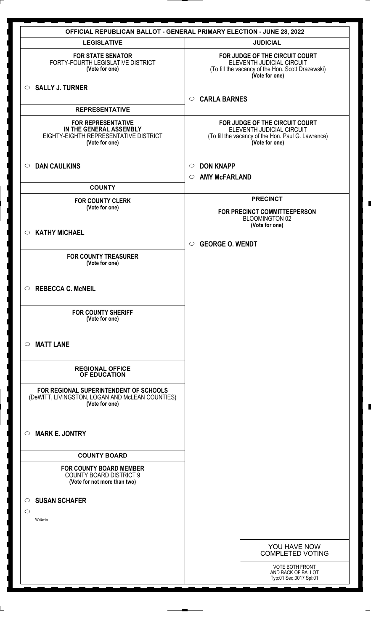|                                                                                                                 | <b>OFFICIAL REPUBLICAN BALLOT - GENERAL PRIMARY ELECTION - JUNE 28, 2022</b>                                                        |
|-----------------------------------------------------------------------------------------------------------------|-------------------------------------------------------------------------------------------------------------------------------------|
| <b>LEGISLATIVE</b>                                                                                              | <b>JUDICIAL</b>                                                                                                                     |
| <b>FOR STATE SENATOR</b><br>FORTY-FOURTH LEGISLATIVE DISTRICT<br>(Vote for one)                                 | FOR JUDGE OF THE CIRCUIT COURT<br>ELEVENTH JUDICIAL CIRCUIT<br>(To fill the vacancy of the Hon. Scott Drazewski)<br>(Vote for one)  |
| $\circ$ SALLY J. TURNER                                                                                         | <b>CARLA BARNES</b><br>$\circ$                                                                                                      |
| <b>REPRESENTATIVE</b>                                                                                           |                                                                                                                                     |
| <b>FOR REPRESENTATIVE</b><br>IN THE GENERAL ASSEMBLY<br>EIGHTY-EIGHTH REPRESENTATIVE DISTRICT<br>(Vote for one) | FOR JUDGE OF THE CIRCUIT COURT<br>ELEVENTH JUDICIAL CIRCUIT<br>(To fill the vacancy of the Hon. Paul G. Lawrence)<br>(Vote for one) |
| <b>DAN CAULKINS</b><br>$\circ$                                                                                  | <b>DON KNAPP</b><br>$\circ$<br><b>AMY McFARLAND</b><br>$\circ$                                                                      |
| <b>COUNTY</b>                                                                                                   |                                                                                                                                     |
| <b>FOR COUNTY CLERK</b>                                                                                         | <b>PRECINCT</b>                                                                                                                     |
| (Vote for one)                                                                                                  | FOR PRECINCT COMMITTEEPERSON<br><b>BLOOMINGTON 02</b><br>(Vote for one)                                                             |
| <b>KATHY MICHAEL</b><br>$\bigcirc$                                                                              |                                                                                                                                     |
|                                                                                                                 | <b>GEORGE O. WENDT</b><br>$\circ$                                                                                                   |
| <b>FOR COUNTY TREASURER</b><br>(Vote for one)                                                                   |                                                                                                                                     |
| $\circ$ REBECCA C. McNEIL                                                                                       |                                                                                                                                     |
| <b>FOR COUNTY SHERIFF</b><br>(Vote for one)                                                                     |                                                                                                                                     |
| <b>MATT LANE</b><br>$\circ$                                                                                     |                                                                                                                                     |
| <b>REGIONAL OFFICE</b><br><b>OF EDUCATION</b>                                                                   |                                                                                                                                     |
| FOR REGIONAL SUPERINTENDENT OF SCHOOLS<br>(DeWITT, LIVINGSTON, LOGAN AND McLEAN COUNTIES)<br>(Vote for one)     |                                                                                                                                     |
| <b>MARK E. JONTRY</b><br>$\circ$                                                                                |                                                                                                                                     |
| <b>COUNTY BOARD</b>                                                                                             |                                                                                                                                     |
| <b>FOR COUNTY BOARD MEMBER</b><br><b>COUNTY BOARD DISTRICT 9</b><br>(Vote for not more than two)                |                                                                                                                                     |
|                                                                                                                 |                                                                                                                                     |
| <b>SUSAN SCHAFER</b><br>$\circ$                                                                                 |                                                                                                                                     |
| $\circ$<br>Write-in                                                                                             |                                                                                                                                     |
|                                                                                                                 |                                                                                                                                     |
|                                                                                                                 | YOU HAVE NOW<br><b>COMPLETED VOTING</b>                                                                                             |
|                                                                                                                 | VOTE BOTH FRONT<br>AND BACK OF BALLOT<br>Typ:01 Seq:0017 Spl:01                                                                     |

 $\perp$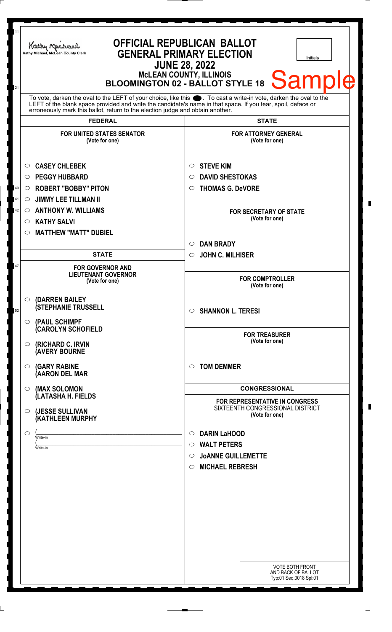| 11<br>21 | <b>OFFICIAL REPUBLICAN BALLOT</b><br>Kathy Michael<br><b>GENERAL PRIMARY ELECTION</b><br>Kathy Michael, McLean County Clerk<br><b>Initials</b><br><b>JUNE 28, 2022</b><br>McLEAN COUNTY, ILLINOIS<br>BLOOMINGTON 02 - BALLOT STYLE 18<br>Sample                                                                        |                                                                                             |  |
|----------|------------------------------------------------------------------------------------------------------------------------------------------------------------------------------------------------------------------------------------------------------------------------------------------------------------------------|---------------------------------------------------------------------------------------------|--|
|          | To vote, darken the oval to the LEFT of your choice, like this $\bullet$ . To cast a write-in vote, darken the oval to the LEFT of the blank space provided and write the candidate's name in that space. If you tear, spoil, deface<br>erroneously mark this ballot, return to the election judge and obtain another. |                                                                                             |  |
|          | <b>FEDERAL</b>                                                                                                                                                                                                                                                                                                         | <b>STATE</b>                                                                                |  |
|          | <b>FOR UNITED STATES SENATOR</b><br>(Vote for one)                                                                                                                                                                                                                                                                     | <b>FOR ATTORNEY GENERAL</b><br>(Vote for one)                                               |  |
|          | <b>CASEY CHLEBEK</b><br>$\circ$                                                                                                                                                                                                                                                                                        | <b>STEVE KIM</b><br>$\circ$                                                                 |  |
|          | <b>PEGGY HUBBARD</b><br>$\circ$                                                                                                                                                                                                                                                                                        | <b>DAVID SHESTOKAS</b><br>$\circ$                                                           |  |
| 40       | <b>ROBERT "BOBBY" PITON</b><br>$\circ$                                                                                                                                                                                                                                                                                 | <b>THOMAS G. DeVORE</b><br>$\circ$                                                          |  |
| 41       | <b>JIMMY LEE TILLMAN II</b><br>$\circ$                                                                                                                                                                                                                                                                                 |                                                                                             |  |
| 42       | <b>ANTHONY W. WILLIAMS</b><br>$\circ$                                                                                                                                                                                                                                                                                  | <b>FOR SECRETARY OF STATE</b>                                                               |  |
|          | <b>KATHY SALVI</b><br>$\circ$                                                                                                                                                                                                                                                                                          | (Vote for one)                                                                              |  |
|          | <b>MATTHEW "MATT" DUBIEL</b><br>$\circ$                                                                                                                                                                                                                                                                                |                                                                                             |  |
|          |                                                                                                                                                                                                                                                                                                                        | <b>DAN BRADY</b><br>$\circlearrowright$                                                     |  |
|          | <b>STATE</b>                                                                                                                                                                                                                                                                                                           | <b>JOHN C. MILHISER</b><br>$\circ$                                                          |  |
| 47       | <b>FOR GOVERNOR AND</b><br><b>LIEUTENANT GOVERNOR</b><br>(Vote for one)                                                                                                                                                                                                                                                | <b>FOR COMPTROLLER</b><br>(Vote for one)                                                    |  |
| 52       | (DARREN BAILEY<br>$\circ$<br><b>(STEPHANIE TRUSSELL</b><br>(PAUL SCHIMPF<br>$\circ$                                                                                                                                                                                                                                    | $\circ$ SHANNON L. TERESI                                                                   |  |
|          | <b>CAROLYN SCHOFIELD</b><br>(RICHARD C. IRVIN<br>O<br><b>(AVERY BOURNE</b>                                                                                                                                                                                                                                             | <b>FOR TREASURER</b><br>(Vote for one)                                                      |  |
|          | <b>(GARY RABINE</b><br>$\circ$<br>(AARON DEL MAR                                                                                                                                                                                                                                                                       | <b>TOM DEMMER</b><br>$\circ$                                                                |  |
|          | (MAX SOLOMON<br>$\circ$                                                                                                                                                                                                                                                                                                | <b>CONGRESSIONAL</b>                                                                        |  |
|          | (LATASHA H. FIELDS<br>(JESSE SULLIVAN<br>O<br>(KATHLEEN MURPHY                                                                                                                                                                                                                                                         | <b>FOR REPRESENTATIVE IN CONGRESS</b><br>SIXTEENTH CONGRESSIONAL DISTRICT<br>(Vote for one) |  |
|          |                                                                                                                                                                                                                                                                                                                        |                                                                                             |  |
|          | O<br>Write-in                                                                                                                                                                                                                                                                                                          | <b>DARIN LaHOOD</b><br>$\circ$                                                              |  |
|          | Write-in                                                                                                                                                                                                                                                                                                               | <b>WALT PETERS</b><br>$\circ$<br><b>JOANNE GUILLEMETTE</b><br>$\circ$                       |  |
|          |                                                                                                                                                                                                                                                                                                                        | <b>MICHAEL REBRESH</b><br>$\circ$                                                           |  |
|          |                                                                                                                                                                                                                                                                                                                        |                                                                                             |  |
|          |                                                                                                                                                                                                                                                                                                                        |                                                                                             |  |
|          |                                                                                                                                                                                                                                                                                                                        |                                                                                             |  |
|          |                                                                                                                                                                                                                                                                                                                        |                                                                                             |  |
|          |                                                                                                                                                                                                                                                                                                                        |                                                                                             |  |
|          |                                                                                                                                                                                                                                                                                                                        |                                                                                             |  |
|          |                                                                                                                                                                                                                                                                                                                        | <b>VOTE BOTH FRONT</b><br>AND BACK OF BALLOT<br>Typ:01 Seq:0018 Spl:01                      |  |
|          |                                                                                                                                                                                                                                                                                                                        |                                                                                             |  |

 $\overline{\phantom{a}}$ 

┆

 $\overline{\phantom{a}}$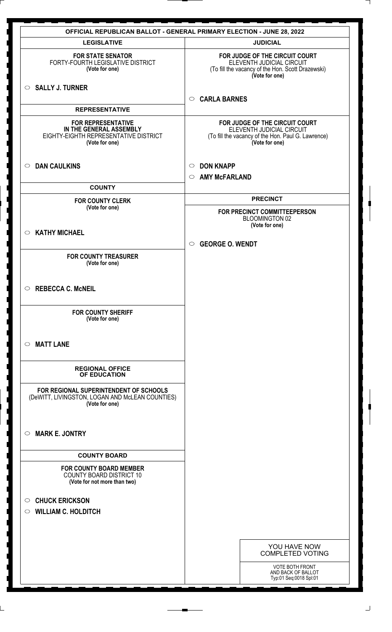| <b>LEGISLATIVE</b>                                                                                              | <b>OFFICIAL REPUBLICAN BALLOT - GENERAL PRIMARY ELECTION - JUNE 28, 2022</b><br><b>JUDICIAL</b>                                     |
|-----------------------------------------------------------------------------------------------------------------|-------------------------------------------------------------------------------------------------------------------------------------|
| <b>FOR STATE SENATOR</b><br>FORTY-FOURTH LEGISLATIVE DISTRICT<br>(Vote for one)                                 | FOR JUDGE OF THE CIRCUIT COURT<br>ELEVENTH JUDICIAL CIRCUIT<br>(To fill the vacancy of the Hon. Scott Drazewski)<br>(Vote for one)  |
| $\circ$ SALLY J. TURNER                                                                                         | <b>CARLA BARNES</b><br>$\circ$                                                                                                      |
| <b>REPRESENTATIVE</b>                                                                                           |                                                                                                                                     |
| <b>FOR REPRESENTATIVE</b><br>IN THE GENERAL ASSEMBLY<br>EIGHTY-EIGHTH REPRESENTATIVE DISTRICT<br>(Vote for one) | FOR JUDGE OF THE CIRCUIT COURT<br>ELEVENTH JUDICIAL CIRCUIT<br>(To fill the vacancy of the Hon. Paul G. Lawrence)<br>(Vote for one) |
| <b>DAN CAULKINS</b><br>$\circ$                                                                                  | <b>DON KNAPP</b><br>$\circ$<br><b>AMY McFARLAND</b><br>$\circ$                                                                      |
| <b>COUNTY</b>                                                                                                   |                                                                                                                                     |
| <b>FOR COUNTY CLERK</b>                                                                                         | <b>PRECINCT</b>                                                                                                                     |
| (Vote for one)                                                                                                  | FOR PRECINCT COMMITTEEPERSON<br><b>BLOOMINGTON 02</b><br>(Vote for one)                                                             |
| <b>KATHY MICHAEL</b><br>$\circ$                                                                                 |                                                                                                                                     |
|                                                                                                                 | <b>GEORGE O. WENDT</b><br>$\circ$                                                                                                   |
| <b>FOR COUNTY TREASURER</b><br>(Vote for one)                                                                   |                                                                                                                                     |
| $\circ$ REBECCA C. McNEIL                                                                                       |                                                                                                                                     |
| <b>FOR COUNTY SHERIFF</b><br>(Vote for one)                                                                     |                                                                                                                                     |
| <b>MATT LANE</b><br>$\circ$                                                                                     |                                                                                                                                     |
| <b>REGIONAL OFFICE</b><br>OF EDUCATION                                                                          |                                                                                                                                     |
| FOR REGIONAL SUPERINTENDENT OF SCHOOLS<br>(DeWITT, LIVINGSTON, LOGAN AND McLEAN COUNTIES)<br>(Vote for one)     |                                                                                                                                     |
| <b>MARK E. JONTRY</b><br>$\circ$                                                                                |                                                                                                                                     |
| <b>COUNTY BOARD</b>                                                                                             |                                                                                                                                     |
| <b>FOR COUNTY BOARD MEMBER</b><br><b>COUNTY BOARD DISTRICT 10</b><br>(Vote for not more than two)               |                                                                                                                                     |
| <b>CHUCK ERICKSON</b><br>$\circ$                                                                                |                                                                                                                                     |
| <b>WILLIAM C. HOLDITCH</b><br>$\circ$                                                                           |                                                                                                                                     |
|                                                                                                                 |                                                                                                                                     |
|                                                                                                                 |                                                                                                                                     |
|                                                                                                                 | YOU HAVE NOW<br><b>COMPLETED VOTING</b>                                                                                             |
|                                                                                                                 | <b>VOTE BOTH FRONT</b><br>AND BACK OF BALLOT<br>Typ:01 Seq:0018 Spl:01                                                              |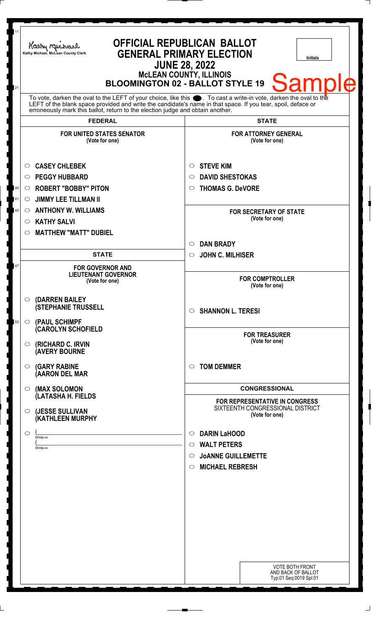| 11<br>21 | Kathy Michael<br>Kathy Michael, McLean County Clerk                                                                                                                                                                                                                                                                    | <b>OFFICIAL REPUBLICAN BALLOT</b><br><b>GENERAL PRIMARY ELECTION</b><br><b>Initials</b><br><b>JUNE 28, 2022</b><br><b>McLEAN COUNTY, ILLINOIS</b><br>Samr<br><b>BLOOMINGTON 02 - BALLOT STYLE 19</b> |
|----------|------------------------------------------------------------------------------------------------------------------------------------------------------------------------------------------------------------------------------------------------------------------------------------------------------------------------|------------------------------------------------------------------------------------------------------------------------------------------------------------------------------------------------------|
|          | To vote, darken the oval to the LEFT of your choice, like this $\bullet$ . To cast a write-in vote, darken the oval to the LEFT of the blank space provided and write the candidate's name in that space. If you tear, spoil, deface<br>erroneously mark this ballot, return to the election judge and obtain another. |                                                                                                                                                                                                      |
|          | <b>FEDERAL</b>                                                                                                                                                                                                                                                                                                         | <b>STATE</b>                                                                                                                                                                                         |
|          | <b>FOR UNITED STATES SENATOR</b><br>(Vote for one)                                                                                                                                                                                                                                                                     | <b>FOR ATTORNEY GENERAL</b><br>(Vote for one)                                                                                                                                                        |
|          | <b>CASEY CHLEBEK</b><br>$\circ$<br><b>PEGGY HUBBARD</b><br>$\circ$                                                                                                                                                                                                                                                     | <b>STEVE KIM</b><br>$\circ$<br><b>DAVID SHESTOKAS</b><br>$\circ$                                                                                                                                     |
| 40       | <b>ROBERT "BOBBY" PITON</b><br>O                                                                                                                                                                                                                                                                                       | <b>THOMAS G. DeVORE</b><br>$\circ$                                                                                                                                                                   |
| 41       | <b>JIMMY LEE TILLMAN II</b><br>$\circ$                                                                                                                                                                                                                                                                                 |                                                                                                                                                                                                      |
| 42       | <b>ANTHONY W. WILLIAMS</b><br>$\circ$<br><b>KATHY SALVI</b><br>$\circ$                                                                                                                                                                                                                                                 | <b>FOR SECRETARY OF STATE</b><br>(Vote for one)                                                                                                                                                      |
|          | <b>MATTHEW "MATT" DUBIEL</b><br>$\circ$                                                                                                                                                                                                                                                                                |                                                                                                                                                                                                      |
|          |                                                                                                                                                                                                                                                                                                                        | <b>DAN BRADY</b><br>$\circ$                                                                                                                                                                          |
|          | <b>STATE</b>                                                                                                                                                                                                                                                                                                           | <b>JOHN C. MILHISER</b><br>$\circ$                                                                                                                                                                   |
| 47       | <b>FOR GOVERNOR AND</b><br><b>LIEUTENANT GOVERNOR</b><br>(Vote for one)                                                                                                                                                                                                                                                | <b>FOR COMPTROLLER</b><br>(Vote for one)                                                                                                                                                             |
| 53       | (DARREN BAILEY<br>$\circ$<br><b>(STEPHANIE TRUSSELL</b><br>(PAUL SCHIMPF<br>$\circ$                                                                                                                                                                                                                                    | $\circ$ SHANNON L. TERESI                                                                                                                                                                            |
|          | <b>CAROLYN SCHOFIELD</b>                                                                                                                                                                                                                                                                                               |                                                                                                                                                                                                      |
|          | <b>(RICHARD C. IRVIN</b><br>$\circ$<br><b>(AVERY BOURNE</b>                                                                                                                                                                                                                                                            | <b>FOR TREASURER</b><br>(Vote for one)                                                                                                                                                               |
|          | $\circ$ (GARY RABINE<br>(AARON DEL MAR                                                                                                                                                                                                                                                                                 | <b>TOM DEMMER</b><br>$\circ$                                                                                                                                                                         |
|          | (MAX SOLOMON<br>$\circ$<br>(LATASHA H. FIELDS                                                                                                                                                                                                                                                                          | <b>CONGRESSIONAL</b>                                                                                                                                                                                 |
|          | (JESSE SULLIVAN<br>$\circ$<br>(KATHLEEN MURPHY                                                                                                                                                                                                                                                                         | FOR REPRESENTATIVE IN CONGRESS<br>SIXTEENTH CONGRESSIONAL DISTRICT<br>(Vote for one)                                                                                                                 |
|          | $\circ$                                                                                                                                                                                                                                                                                                                | <b>DARIN LaHOOD</b><br>$\circ$                                                                                                                                                                       |
|          | Write-in<br>Write-in                                                                                                                                                                                                                                                                                                   | <b>WALT PETERS</b><br>$\circ$                                                                                                                                                                        |
|          |                                                                                                                                                                                                                                                                                                                        | <b>JOANNE GUILLEMETTE</b><br>$\circ$                                                                                                                                                                 |
|          |                                                                                                                                                                                                                                                                                                                        | <b>MICHAEL REBRESH</b><br>$\circ$                                                                                                                                                                    |
|          |                                                                                                                                                                                                                                                                                                                        |                                                                                                                                                                                                      |
|          |                                                                                                                                                                                                                                                                                                                        | <b>VOTE BOTH FRONT</b><br>AND BACK OF BALLOT<br>Typ:01 Seq:0019 Spl:01                                                                                                                               |
|          |                                                                                                                                                                                                                                                                                                                        |                                                                                                                                                                                                      |